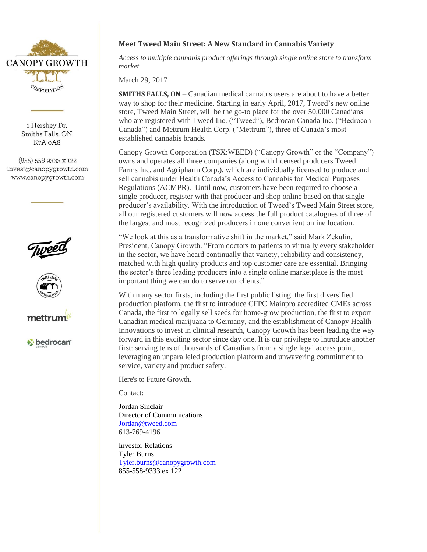

1 Hershev Dr. Smiths Falls, ON K7A 0A8

 $(855)$  558 9333 x 122 invest@canopygrowth.com www.canopygrowth.com







bedrocan<sup>®</sup>

## **Meet Tweed Main Street: A New Standard in Cannabis Variety**

*Access to multiple cannabis product offerings through single online store to transform market* 

March 29, 2017

**SMITHS FALLS, ON** – Canadian medical cannabis users are about to have a better way to shop for their medicine. Starting in early April, 2017, Tweed's new online store, Tweed Main Street, will be the go-to place for the over 50,000 Canadians who are registered with Tweed Inc. ("Tweed"), Bedrocan Canada Inc. ("Bedrocan Canada") and Mettrum Health Corp. ("Mettrum"), three of Canada's most established cannabis brands.

Canopy Growth Corporation (TSX:WEED) ("Canopy Growth" or the "Company") owns and operates all three companies (along with licensed producers Tweed Farms Inc. and Agripharm Corp.), which are individually licensed to produce and sell cannabis under Health Canada's Access to Cannabis for Medical Purposes Regulations (ACMPR). Until now, customers have been required to choose a single producer, register with that producer and shop online based on that single producer's availability. With the introduction of Tweed's Tweed Main Street store, all our registered customers will now access the full product catalogues of three of the largest and most recognized producers in one convenient online location.

"We look at this as a transformative shift in the market," said Mark Zekulin, President, Canopy Growth. "From doctors to patients to virtually every stakeholder in the sector, we have heard continually that variety, reliability and consistency, matched with high quality products and top customer care are essential. Bringing the sector's three leading producers into a single online marketplace is the most important thing we can do to serve our clients."

With many sector firsts, including the first public listing, the first diversified production platform, the first to introduce CFPC Mainpro accredited CMEs across Canada, the first to legally sell seeds for home-grow production, the first to export Canadian medical marijuana to Germany, and the establishment of Canopy Health Innovations to invest in clinical research, Canopy Growth has been leading the way forward in this exciting sector since day one. It is our privilege to introduce another first: serving tens of thousands of Canadians from a single legal access point, leveraging an unparalleled production platform and unwavering commitment to service, variety and product safety.

Here's to Future Growth.

Contact:

Jordan Sinclair Director of Communications [Jordan@tweed.com](mailto:Jordan@tweed.com) 613-769-4196

Investor Relations Tyler Burns [Tyler.burns@canopygrowth.com](mailto:Tyler.burns@canopygrowth.com) 855-558-9333 ex 122